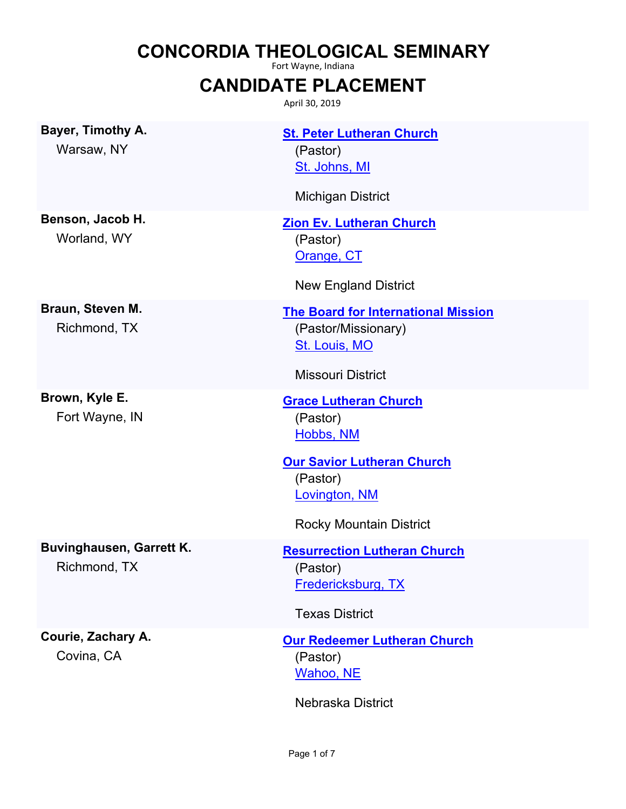# **CONCORDIA THEOLOGICAL SEMINARY**

Fort Wayne, Indiana

### **CANDIDATE PLACEMENT**

April 30, 2019

**Bayer, Timothy A.** Warsaw, NY

**Benson, Jacob H.** Worland, WY

**Braun, Steven M.** Richmond, TX

**Brown, Kyle E.** Fort Wayne, IN **[St. Peter Lutheran Church](http://locator.lcms.org/nchurches_frm/c_detail.asp?C795152)** [St. Johns, MI](http://maps.google.com/?q=42.9221459,-84.6990252&t=h) (Pastor)

Michigan District

#### **[Zion Ev. Lutheran Church](http://locator.lcms.org/nchurches_frm/c_detail.asp?C677127)** [Orange, CT](http://maps.google.com/?q=41.2913519,-73.0411149&t=h) (Pastor)

New England District

#### **[The Board for International Mission](https://www.lcms.org)**

[St. Louis, MO](https://www.google.com/maps/place/LCMS+International+Center/@38.560701,-90.4082111,15z/data=!4m2!3m1!1s0x0:0xef9427c9bbc3719a?sa=X&ved=2ahUKEwjRsYSYje7hAhVO2qwKHTREAasQ_BIwC3oECAwQCw) (Pastor/Missionary)

Missouri District

**[Grace Lutheran Church](http://locator.lcms.org/nchurches_frm/c_detail.asp?C420206)** [Hobbs, NM](http://maps.google.com/?q=32.7158965,-103.1354133&t=h) (Pastor)

**[Our Savior Lutheran Church](http://locator.lcms.org/nchurches_frm/c_detail.asp?C532461)** [Lovington, NM](http://maps.google.com/?q=32.9427749,-103.3597698&t=h) (Pastor)

Rocky Mountain District

#### **[Resurrection Lutheran Church](http://locator.lcms.org/nchurches_frm/c_detail.asp?C336875)** [Fredericksburg, TX](http://maps.google.com/?q=30.2892448,-98.8425814&t=h) (Pastor)

Texas District

### **[Our Redeemer Lutheran Church](http://locator.lcms.org/nchurches_frm/c_detail.asp?C940013)** [Wahoo, NE](http://maps.google.com/?q=41.2179151,-96.6258334&t=h) (Pastor)

Nebraska District

**Courie, Zachary A.** Covina, CA

Richmond, TX

**Buvinghausen, Garrett K.**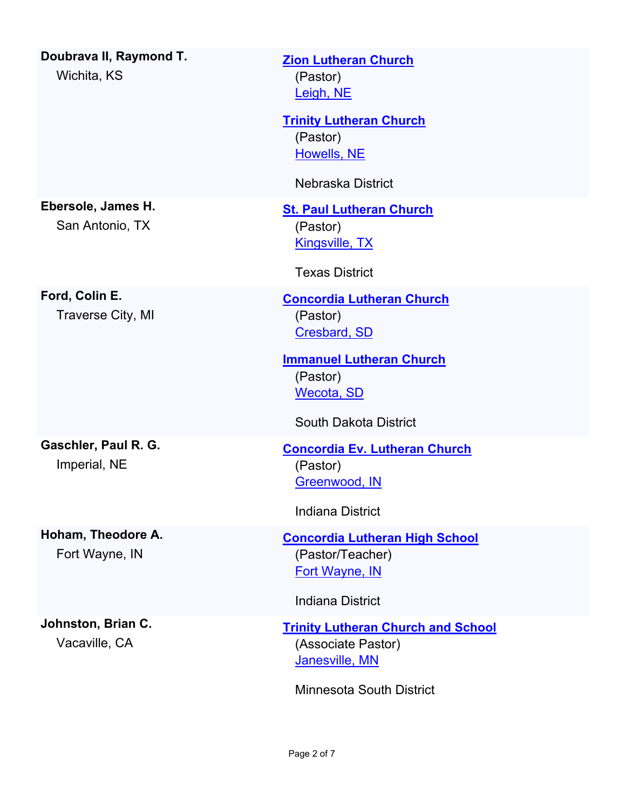| Doubrava II, Raymond T.<br>Wichita, KS | <b>Zion Lutheran Church</b><br>(Pastor)<br>Leigh, NE                                                                                                                    |
|----------------------------------------|-------------------------------------------------------------------------------------------------------------------------------------------------------------------------|
|                                        | <b>Trinity Lutheran Church</b><br>(Pastor)<br><b>Howells, NE</b><br>Nebraska District                                                                                   |
| Ebersole, James H.<br>San Antonio, TX  | <b>St. Paul Lutheran Church</b><br>(Pastor)<br><b>Kingsville, TX</b><br><b>Texas District</b>                                                                           |
| Ford, Colin E.<br>Traverse City, MI    | <b>Concordia Lutheran Church</b><br>(Pastor)<br><b>Cresbard, SD</b><br><b>Immanuel Lutheran Church</b><br>(Pastor)<br><b>Wecota, SD</b><br><b>South Dakota District</b> |
| Gaschler, Paul R. G.<br>Imperial, NE   | <b>Concordia Ev. Lutheran Church</b><br>(Pastor)<br>Greenwood, IN<br><b>Indiana District</b>                                                                            |
| Hoham, Theodore A.<br>Fort Wayne, IN   | <b>Concordia Lutheran High School</b><br>(Pastor/Teacher)<br><b>Fort Wayne, IN</b><br><b>Indiana District</b>                                                           |
| Johnston, Brian C.<br>Vacaville, CA    | <b>Trinity Lutheran Church and School</b><br>(Associate Pastor)<br>Janesville, MN<br><b>Minnesota South District</b>                                                    |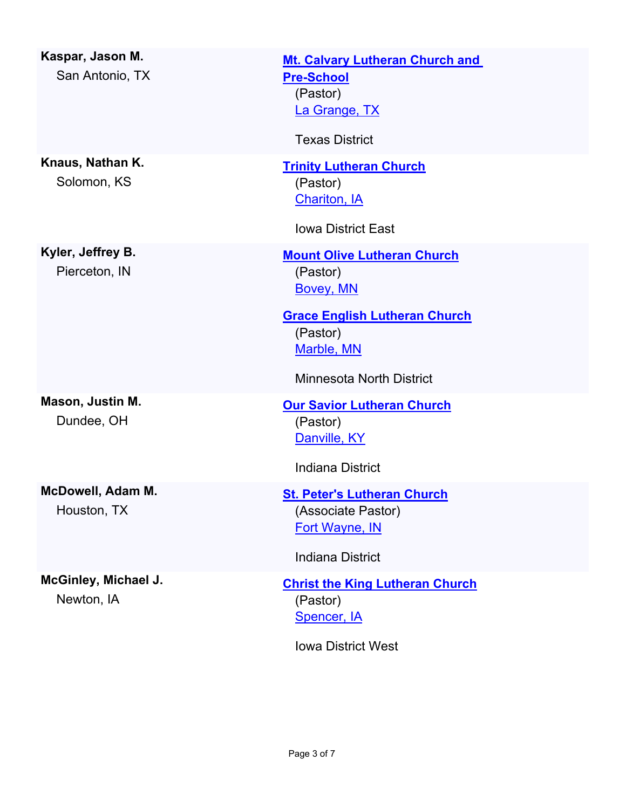| Kaspar, Jason M.<br>San Antonio, TX | <b>Mt. Calvary Lutheran Church and</b><br><b>Pre-School</b><br>(Pastor)<br>La Grange, TX<br><b>Texas District</b>                                                |
|-------------------------------------|------------------------------------------------------------------------------------------------------------------------------------------------------------------|
| Knaus, Nathan K.<br>Solomon, KS     | <b>Trinity Lutheran Church</b><br>(Pastor)<br><b>Chariton, IA</b><br><b>Iowa District East</b>                                                                   |
| Kyler, Jeffrey B.<br>Pierceton, IN  | <b>Mount Olive Lutheran Church</b><br>(Pastor)<br>Bovey, MN<br><b>Grace English Lutheran Church</b><br>(Pastor)<br>Marble, MN<br><b>Minnesota North District</b> |
| Mason, Justin M.<br>Dundee, OH      | <b>Our Savior Lutheran Church</b><br>(Pastor)<br>Danville, KY<br><b>Indiana District</b>                                                                         |
| McDowell, Adam M.<br>Houston, TX    | <b>St. Peter's Lutheran Church</b><br>(Associate Pastor)<br><b>Fort Wayne, IN</b><br><b>Indiana District</b>                                                     |
| McGinley, Michael J.<br>Newton, IA  | <b>Christ the King Lutheran Church</b><br>(Pastor)<br>Spencer, IA<br><b>Iowa District West</b>                                                                   |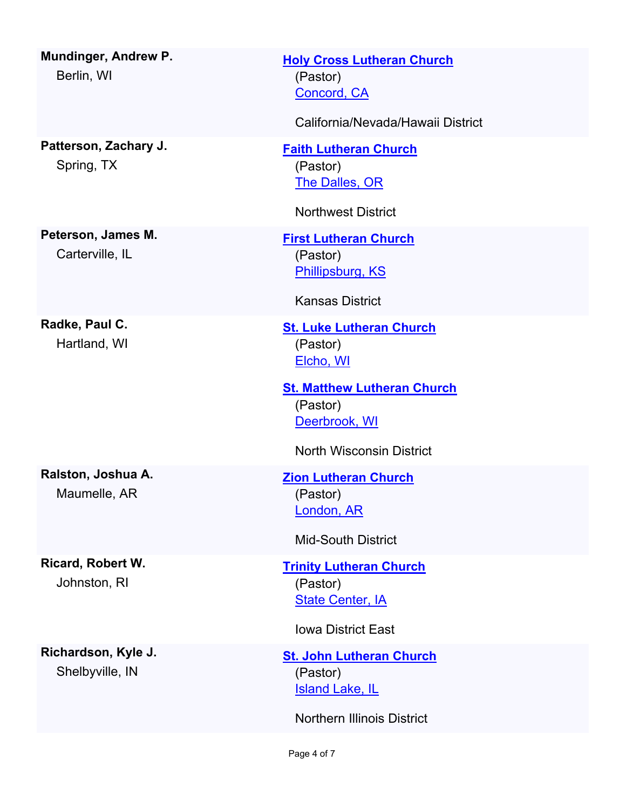| Mundinger, Andrew P.<br>Berlin, WI       | <b>Holy Cross Lutheran Church</b><br>(Pastor)<br>Concord, CA<br>California/Nevada/Hawaii District                           |
|------------------------------------------|-----------------------------------------------------------------------------------------------------------------------------|
|                                          |                                                                                                                             |
| Patterson, Zachary J.<br>Spring, TX      | <b>Faith Lutheran Church</b><br>(Pastor)<br><b>The Dalles, OR</b>                                                           |
|                                          | <b>Northwest District</b>                                                                                                   |
| Peterson, James M.<br>Carterville, IL    | <b>First Lutheran Church</b><br>(Pastor)<br>Phillipsburg, KS<br><b>Kansas District</b>                                      |
| Radke, Paul C.<br>Hartland, WI           | <b>St. Luke Lutheran Church</b><br>(Pastor)<br>Elcho, WI<br><b>St. Matthew Lutheran Church</b><br>(Pastor)<br>Deerbrook, WI |
|                                          | <b>North Wisconsin District</b>                                                                                             |
| Ralston, Joshua A.<br>Maumelle, AR       | <b>Zion Lutheran Church</b><br>(Pastor)<br>London, AR                                                                       |
|                                          | <b>Mid-South District</b>                                                                                                   |
| <b>Ricard, Robert W.</b><br>Johnston, RI | <b>Trinity Lutheran Church</b><br>(Pastor)<br><b>State Center, IA</b>                                                       |
|                                          | <b>Iowa District East</b>                                                                                                   |
| Richardson, Kyle J.<br>Shelbyville, IN   | <b>St. John Lutheran Church</b><br>(Pastor)<br><b>Island Lake, IL</b><br><b>Northern Illinois District</b>                  |
|                                          |                                                                                                                             |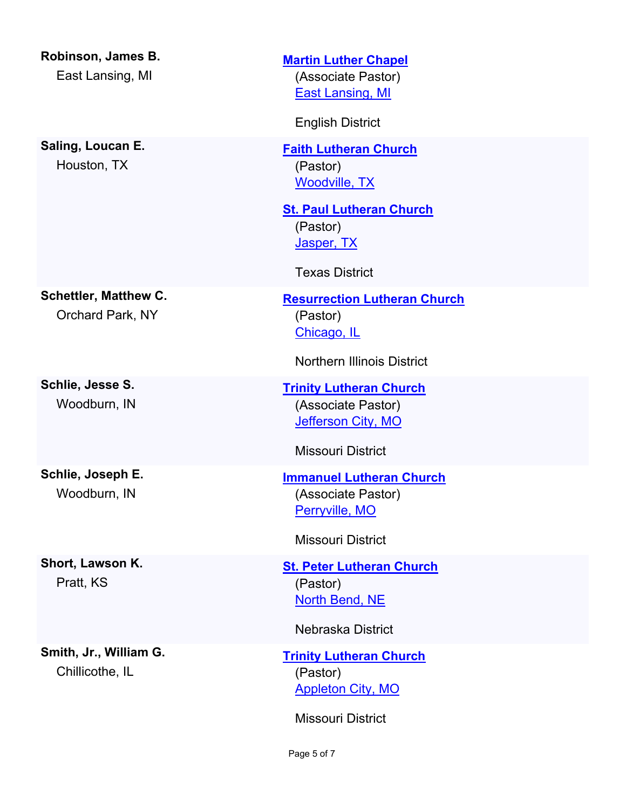**Robinson, James B.** East Lansing, MI

**Saling, Loucan E.** Houston, TX

**[Martin Luther Chapel](http://locator.lcms.org/nchurches_frm/c_detail.asp?C268340)** [East Lansing, MI](http://maps.google.com/?q=42.7379656,-84.4833275&t=h) (Associate Pastor)

English District

**[Faith Lutheran Church](http://locator.lcms.org/nchurches_frm/c_detail.asp?C991059)** [Woodville, TX](http://maps.google.com/?q=30.7735484,-94.4229978&t=h) (Pastor)

**[St. Paul Lutheran Church](http://locator.lcms.org/nchurches_frm/c_detail.asp?C457887)** [Jasper, TX](http://maps.google.com/?q=30.9046036,-94.0163323&t=h) (Pastor)

Texas District

**[Resurrection Lutheran Church](http://locator.lcms.org/nchurches_frm/c_detail.asp?C162949)** [Chicago, IL](http://maps.google.com/?q=41.723749,-87.628359&t=h) (Pastor)

Northern Illinois District

**[Trinity Lutheran Church](http://locator.lcms.org/nchurches_frm/c_detail.asp?C458959)** [Jefferson City, MO](http://maps.google.com/?q=38.5663175,-92.1869582&t=h) (Associate Pastor)

Missouri District

**[Immanuel Lutheran Church](http://locator.lcms.org/nchurches_frm/c_detail.asp?C709638)** [Perryville, MO](http://maps.google.com/?q=37.7303688,-89.8647845&t=h) (Associate Pastor)

Missouri District

**[St. Peter Lutheran Church](http://locator.lcms.org/nchurches_frm/c_detail.asp?C649435)** [North Bend, NE](http://maps.google.com/?q=41.4619485,-96.7797515&t=h) (Pastor)

Nebraska District

**[Trinity Lutheran Church](http://locator.lcms.org/nchurches_frm/c_detail.asp?C29530)** [Appleton City, MO](http://maps.google.com/?q=38.1873261,-94.0311007&t=h) (Pastor)

Missouri District

Page 5 of 7

**Schettler, Matthew C.** Orchard Park, NY

**Schlie, Jesse S.** Woodburn, IN

**Schlie, Joseph E.** Woodburn, IN

**Short, Lawson K.** Pratt, KS

**Smith, Jr., William G.** Chillicothe, IL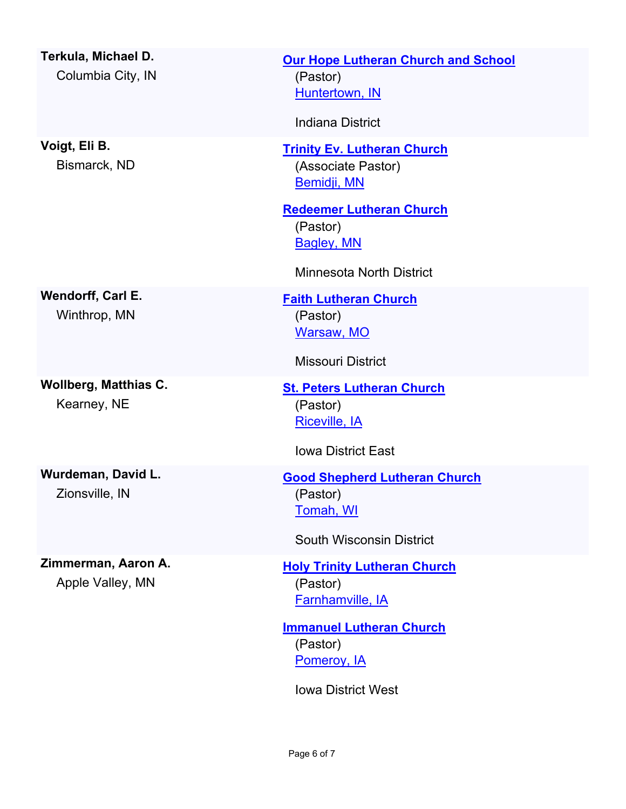**Terkula, Michael D.** Columbia City, IN

**Voigt, Eli B.** Bismarck, ND

**Wendorff, Carl E.** Winthrop, MN

**Wollberg, Matthias C.** Kearney, NE

**Wurdeman, David L.** Zionsville, IN

**Zimmerman, Aaron A.**

Apple Valley, MN

**[Our Hope Lutheran Church and School](http://locator.lcms.org/nchurches_frm/c_detail.asp?C436476)** [Huntertown, IN](http://maps.google.com/?q=41.228382,-85.1724726&t=h) (Pastor) Indiana District **[Trinity Ev. Lutheran Church](http://locator.lcms.org/nchurches_frm/c_detail.asp?C73574)** [Bemidji, MN](http://maps.google.com/?q=47.4968654,-94.8793857&t=h) (Associate Pastor) **[Redeemer Lutheran Church](http://locator.lcms.org/nchurches_frm/c_detail.asp?C50551)** [Bagley, MN](http://maps.google.com/?q=47.5249102,-95.3988219&t=h) (Pastor)

Minnesota North District

**[Faith Lutheran Church](http://locator.lcms.org/nchurches_frm/c_detail.asp?C946658)** [Warsaw, MO](http://maps.google.com/?q=38.2430811,-93.3818711&t=h) (Pastor)

Missouri District

**[St. Peters Lutheran Church](http://locator.lcms.org/nchurches_frm/c_detail.asp?C764407)** [Riceville, IA](http://maps.google.com/?q=43.3638571,-92.5540687&t=h) (Pastor)

Iowa District East

**[Good Shepherd Lutheran Church](http://locator.lcms.org/nchurches_frm/c_detail.asp?C110)** [Tomah, WI](http://maps.google.com/?q=44.003437,-90.514507&t=h) (Pastor)

South Wisconsin District

**[Holy Trinity Lutheran Church](http://locator.lcms.org/nchurches_frm/c_detail.asp?C310954)** [Farnhamville, IA](http://maps.google.com/?q=42.2760896,-94.403859&t=h) (Pastor)

**[Immanuel Lutheran Church](http://locator.lcms.org/nchurches_frm/c_detail.asp?C729229)** [Pomeroy, IA](http://maps.google.com/?q=42.5510885,-94.6838687&t=h) (Pastor)

Iowa District West